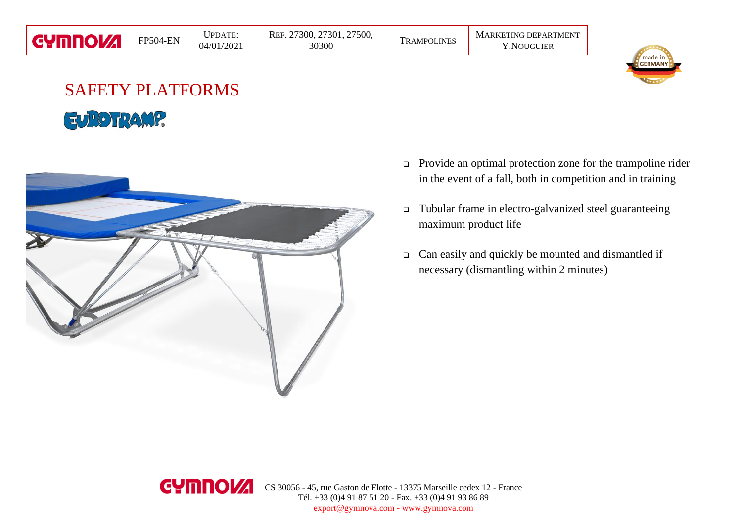## SAFETY PLATFORMS EUROTRAMP



- ❑ Provide an optimal protection zone for the trampoline rider in the event of a fall, both in competition and in training
- ❑ Tubular frame in electro-galvanized steel guaranteeing maximum product life
- ❑ Can easily and quickly be mounted and dismantled if necessary (dismantling within 2 minutes)